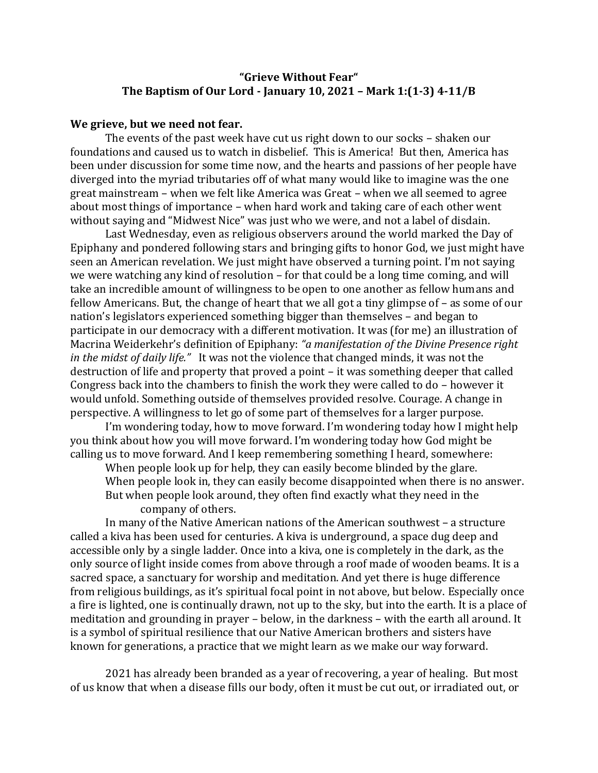## **"Grieve Without Fear" The Baptism of Our Lord - January 10, 2021 – Mark 1:(1-3) 4-11/B**

## **We grieve, but we need not fear.**

The events of the past week have cut us right down to our socks – shaken our foundations and caused us to watch in disbelief. This is America! But then, America has been under discussion for some time now, and the hearts and passions of her people have diverged into the myriad tributaries off of what many would like to imagine was the one great mainstream – when we felt like America was Great – when we all seemed to agree about most things of importance – when hard work and taking care of each other went without saying and "Midwest Nice" was just who we were, and not a label of disdain.

Last Wednesday, even as religious observers around the world marked the Day of Epiphany and pondered following stars and bringing gifts to honor God, we just might have seen an American revelation. We just might have observed a turning point. I'm not saying we were watching any kind of resolution – for that could be a long time coming, and will take an incredible amount of willingness to be open to one another as fellow humans and fellow Americans. But, the change of heart that we all got a tiny glimpse of – as some of our nation's legislators experienced something bigger than themselves – and began to participate in our democracy with a different motivation. It was (for me) an illustration of Macrina Weiderkehr's definition of Epiphany: *"a manifestation of the Divine Presence right in the midst of daily life."* It was not the violence that changed minds, it was not the destruction of life and property that proved a point – it was something deeper that called Congress back into the chambers to finish the work they were called to do – however it would unfold. Something outside of themselves provided resolve. Courage. A change in perspective. A willingness to let go of some part of themselves for a larger purpose.

I'm wondering today, how to move forward. I'm wondering today how I might help you think about how you will move forward. I'm wondering today how God might be calling us to move forward. And I keep remembering something I heard, somewhere:

When people look up for help, they can easily become blinded by the glare. When people look in, they can easily become disappointed when there is no answer. But when people look around, they often find exactly what they need in the company of others.

In many of the Native American nations of the American southwest – a structure called a kiva has been used for centuries. A kiva is underground, a space dug deep and accessible only by a single ladder. Once into a kiva, one is completely in the dark, as the only source of light inside comes from above through a roof made of wooden beams. It is a sacred space, a sanctuary for worship and meditation. And yet there is huge difference from religious buildings, as it's spiritual focal point in not above, but below. Especially once a fire is lighted, one is continually drawn, not up to the sky, but into the earth. It is a place of meditation and grounding in prayer – below, in the darkness – with the earth all around. It is a symbol of spiritual resilience that our Native American brothers and sisters have known for generations, a practice that we might learn as we make our way forward.

2021 has already been branded as a year of recovering, a year of healing. But most of us know that when a disease fills our body, often it must be cut out, or irradiated out, or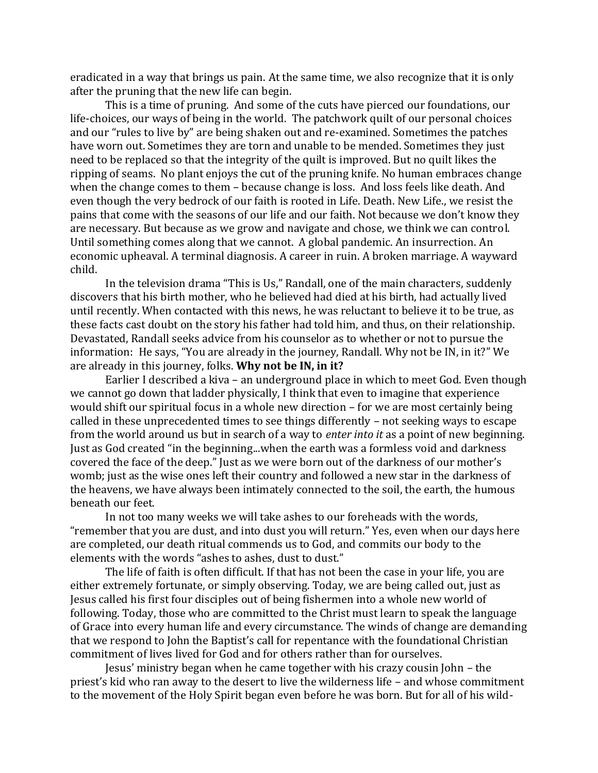eradicated in a way that brings us pain. At the same time, we also recognize that it is only after the pruning that the new life can begin.

This is a time of pruning. And some of the cuts have pierced our foundations, our life-choices, our ways of being in the world. The patchwork quilt of our personal choices and our "rules to live by" are being shaken out and re-examined. Sometimes the patches have worn out. Sometimes they are torn and unable to be mended. Sometimes they just need to be replaced so that the integrity of the quilt is improved. But no quilt likes the ripping of seams. No plant enjoys the cut of the pruning knife. No human embraces change when the change comes to them – because change is loss. And loss feels like death. And even though the very bedrock of our faith is rooted in Life. Death. New Life., we resist the pains that come with the seasons of our life and our faith. Not because we don't know they are necessary. But because as we grow and navigate and chose, we think we can control. Until something comes along that we cannot. A global pandemic. An insurrection. An economic upheaval. A terminal diagnosis. A career in ruin. A broken marriage. A wayward child.

In the television drama "This is Us," Randall, one of the main characters, suddenly discovers that his birth mother, who he believed had died at his birth, had actually lived until recently. When contacted with this news, he was reluctant to believe it to be true, as these facts cast doubt on the story his father had told him, and thus, on their relationship. Devastated, Randall seeks advice from his counselor as to whether or not to pursue the information: He says, "You are already in the journey, Randall. Why not be IN, in it?" We are already in this journey, folks. **Why not be IN, in it?** 

Earlier I described a kiva – an underground place in which to meet God. Even though we cannot go down that ladder physically, I think that even to imagine that experience would shift our spiritual focus in a whole new direction – for we are most certainly being called in these unprecedented times to see things differently – not seeking ways to escape from the world around us but in search of a way to *enter into it* as a point of new beginning. Just as God created "in the beginning...when the earth was a formless void and darkness covered the face of the deep." Just as we were born out of the darkness of our mother's womb; just as the wise ones left their country and followed a new star in the darkness of the heavens, we have always been intimately connected to the soil, the earth, the humous beneath our feet.

In not too many weeks we will take ashes to our foreheads with the words, "remember that you are dust, and into dust you will return." Yes, even when our days here are completed, our death ritual commends us to God, and commits our body to the elements with the words "ashes to ashes, dust to dust."

The life of faith is often difficult. If that has not been the case in your life, you are either extremely fortunate, or simply observing. Today, we are being called out, just as Jesus called his first four disciples out of being fishermen into a whole new world of following. Today, those who are committed to the Christ must learn to speak the language of Grace into every human life and every circumstance. The winds of change are demanding that we respond to John the Baptist's call for repentance with the foundational Christian commitment of lives lived for God and for others rather than for ourselves.

Jesus' ministry began when he came together with his crazy cousin John – the priest's kid who ran away to the desert to live the wilderness life – and whose commitment to the movement of the Holy Spirit began even before he was born. But for all of his wild